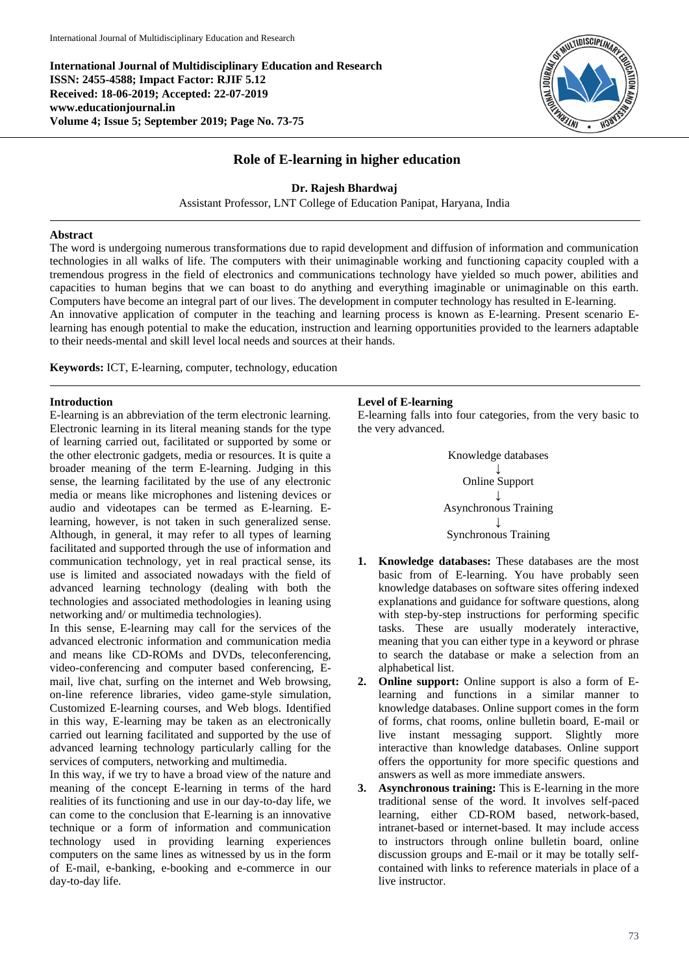**International Journal of Multidisciplinary Education and Research ISSN: 2455-4588; Impact Factor: RJIF 5.12 Received: 18-06-2019; Accepted: 22-07-2019 www.educationjournal.in Volume 4; Issue 5; September 2019; Page No. 73-75**



# **Role of E-learning in higher education**

**Dr. Rajesh Bhardwaj**

Assistant Professor, LNT College of Education Panipat, Haryana, India

### **Abstract**

The word is undergoing numerous transformations due to rapid development and diffusion of information and communication technologies in all walks of life. The computers with their unimaginable working and functioning capacity coupled with a tremendous progress in the field of electronics and communications technology have yielded so much power, abilities and capacities to human begins that we can boast to do anything and everything imaginable or unimaginable on this earth. Computers have become an integral part of our lives. The development in computer technology has resulted in E-learning. An innovative application of computer in the teaching and learning process is known as E-learning. Present scenario Elearning has enough potential to make the education, instruction and learning opportunities provided to the learners adaptable

**Keywords:** ICT, E-learning, computer, technology, education

to their needs-mental and skill level local needs and sources at their hands.

#### **Introduction**

E-learning is an abbreviation of the term electronic learning. Electronic learning in its literal meaning stands for the type of learning carried out, facilitated or supported by some or the other electronic gadgets, media or resources. It is quite a broader meaning of the term E-learning. Judging in this sense, the learning facilitated by the use of any electronic media or means like microphones and listening devices or audio and videotapes can be termed as E-learning. Elearning, however, is not taken in such generalized sense. Although, in general, it may refer to all types of learning facilitated and supported through the use of information and communication technology, yet in real practical sense, its use is limited and associated nowadays with the field of advanced learning technology (dealing with both the technologies and associated methodologies in leaning using networking and/ or multimedia technologies).

In this sense, E-learning may call for the services of the advanced electronic information and communication media and means like CD-ROMs and DVDs, teleconferencing, video-conferencing and computer based conferencing, Email, live chat, surfing on the internet and Web browsing, on-line reference libraries, video game-style simulation, Customized E-learning courses, and Web blogs. Identified in this way, E-learning may be taken as an electronically carried out learning facilitated and supported by the use of advanced learning technology particularly calling for the services of computers, networking and multimedia.

In this way, if we try to have a broad view of the nature and meaning of the concept E-learning in terms of the hard realities of its functioning and use in our day-to-day life, we can come to the conclusion that E-learning is an innovative technique or a form of information and communication technology used in providing learning experiences computers on the same lines as witnessed by us in the form of E-mail, e-banking, e-booking and e-commerce in our day-to-day life.

#### **Level of E-learning**

E-learning falls into four categories, from the very basic to the very advanced.



- **1. Knowledge databases:** These databases are the most basic from of E-learning. You have probably seen knowledge databases on software sites offering indexed explanations and guidance for software questions, along with step-by-step instructions for performing specific tasks. These are usually moderately interactive, meaning that you can either type in a keyword or phrase to search the database or make a selection from an alphabetical list.
- **2. Online support:** Online support is also a form of Elearning and functions in a similar manner to knowledge databases. Online support comes in the form of forms, chat rooms, online bulletin board, E-mail or live instant messaging support. Slightly more interactive than knowledge databases. Online support offers the opportunity for more specific questions and answers as well as more immediate answers.
- **3. Asynchronous training:** This is E-learning in the more traditional sense of the word. It involves self-paced learning, either CD-ROM based, network-based, intranet-based or internet-based. It may include access to instructors through online bulletin board, online discussion groups and E-mail or it may be totally selfcontained with links to reference materials in place of a live instructor.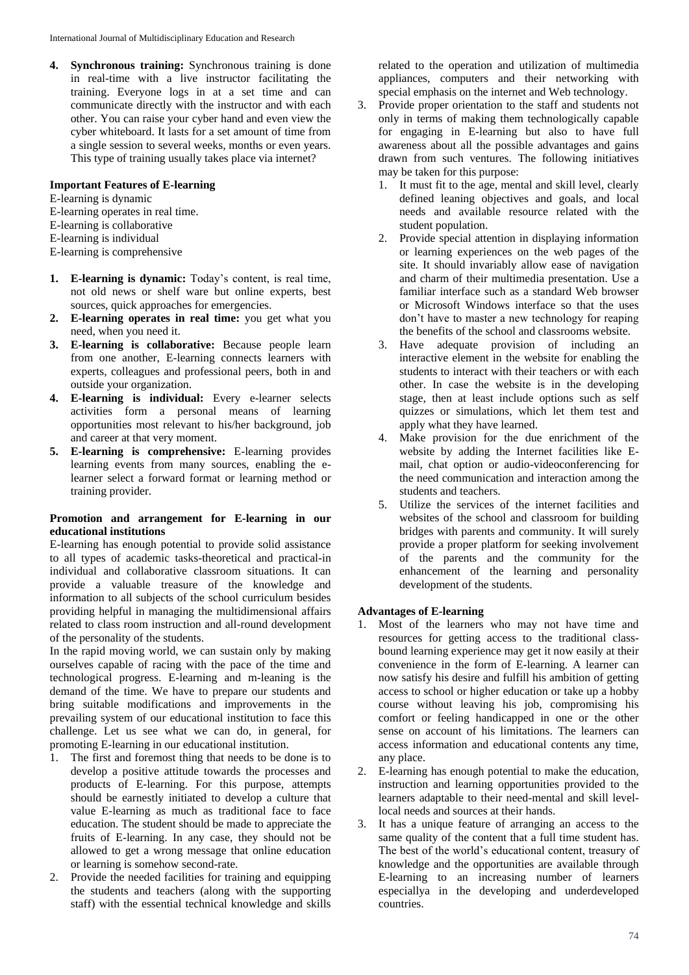**4. Synchronous training:** Synchronous training is done in real-time with a live instructor facilitating the training. Everyone logs in at a set time and can communicate directly with the instructor and with each other. You can raise your cyber hand and even view the cyber whiteboard. It lasts for a set amount of time from a single session to several weeks, months or even years. This type of training usually takes place via internet?

### **Important Features of E-learning**

- E-learning is dynamic
- E-learning operates in real time.
- E-learning is collaborative
- E-learning is individual
- E-learning is comprehensive
- **1. E-learning is dynamic:** Today's content, is real time, not old news or shelf ware but online experts, best sources, quick approaches for emergencies.
- **2. E-learning operates in real time:** you get what you need, when you need it.
- **3. E-learning is collaborative:** Because people learn from one another, E-learning connects learners with experts, colleagues and professional peers, both in and outside your organization.
- **4. E-learning is individual:** Every e-learner selects activities form a personal means of learning opportunities most relevant to his/her background, job and career at that very moment.
- **5. E-learning is comprehensive:** E-learning provides learning events from many sources, enabling the elearner select a forward format or learning method or training provider.

## **Promotion and arrangement for E-learning in our educational institutions**

E-learning has enough potential to provide solid assistance to all types of academic tasks-theoretical and practical-in individual and collaborative classroom situations. It can provide a valuable treasure of the knowledge and information to all subjects of the school curriculum besides providing helpful in managing the multidimensional affairs related to class room instruction and all-round development of the personality of the students.

In the rapid moving world, we can sustain only by making ourselves capable of racing with the pace of the time and technological progress. E-learning and m-leaning is the demand of the time. We have to prepare our students and bring suitable modifications and improvements in the prevailing system of our educational institution to face this challenge. Let us see what we can do, in general, for promoting E-learning in our educational institution.

- 1. The first and foremost thing that needs to be done is to develop a positive attitude towards the processes and products of E-learning. For this purpose, attempts should be earnestly initiated to develop a culture that value E-learning as much as traditional face to face education. The student should be made to appreciate the fruits of E-learning. In any case, they should not be allowed to get a wrong message that online education or learning is somehow second-rate.
- 2. Provide the needed facilities for training and equipping the students and teachers (along with the supporting staff) with the essential technical knowledge and skills

related to the operation and utilization of multimedia appliances, computers and their networking with special emphasis on the internet and Web technology.

- 3. Provide proper orientation to the staff and students not only in terms of making them technologically capable for engaging in E-learning but also to have full awareness about all the possible advantages and gains drawn from such ventures. The following initiatives may be taken for this purpose:
	- 1. It must fit to the age, mental and skill level, clearly defined leaning objectives and goals, and local needs and available resource related with the student population.
	- 2. Provide special attention in displaying information or learning experiences on the web pages of the site. It should invariably allow ease of navigation and charm of their multimedia presentation. Use a familiar interface such as a standard Web browser or Microsoft Windows interface so that the uses don't have to master a new technology for reaping the benefits of the school and classrooms website.
	- 3. Have adequate provision of including an interactive element in the website for enabling the students to interact with their teachers or with each other. In case the website is in the developing stage, then at least include options such as self quizzes or simulations, which let them test and apply what they have learned.
	- 4. Make provision for the due enrichment of the website by adding the Internet facilities like Email, chat option or audio-videoconferencing for the need communication and interaction among the students and teachers.
	- 5. Utilize the services of the internet facilities and websites of the school and classroom for building bridges with parents and community. It will surely provide a proper platform for seeking involvement of the parents and the community for the enhancement of the learning and personality development of the students.

# **Advantages of E-learning**

- 1. Most of the learners who may not have time and resources for getting access to the traditional classbound learning experience may get it now easily at their convenience in the form of E-learning. A learner can now satisfy his desire and fulfill his ambition of getting access to school or higher education or take up a hobby course without leaving his job, compromising his comfort or feeling handicapped in one or the other sense on account of his limitations. The learners can access information and educational contents any time, any place.
- 2. E-learning has enough potential to make the education, instruction and learning opportunities provided to the learners adaptable to their need-mental and skill levellocal needs and sources at their hands.
- 3. It has a unique feature of arranging an access to the same quality of the content that a full time student has. The best of the world's educational content, treasury of knowledge and the opportunities are available through E-learning to an increasing number of learners especiallya in the developing and underdeveloped countries.